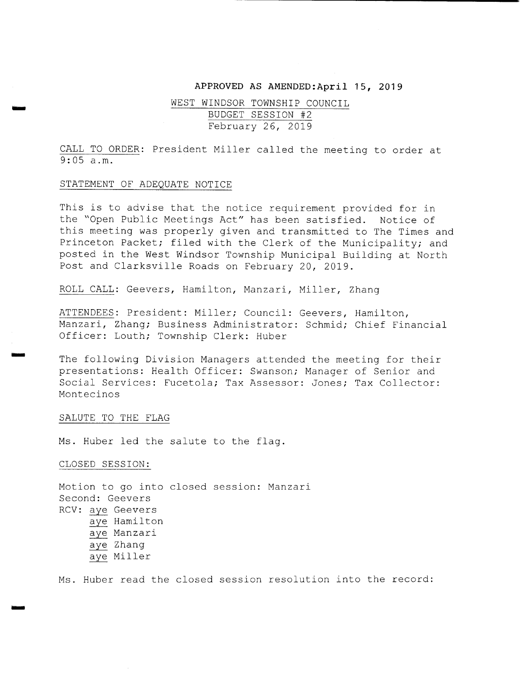#### APPROVED AS AMENDED: April 15, 2019

# WEST WINDSOR TOWNSHIP COUNCIL BUDGET SESSION #2 February 26, 2019

CALL TO ORDER: President Miller called the meeting to order at 9: 05 a . m.

### STATEMENT OF ADEQUATE NOTICE

ism

r=

This is to advise that the notice requirement provided for in the " Open Public Meetings Act" has been satisfied. Notice of this meeting was properly given and transmitted to The Times and Princeton Packet; filed with the Clerk of the Municipality; and posted in the West Windsor Township Municipal Building at North Post and Clarksville Roads on February 20, 2019 .

ROLL CALL: Geevers, Hamilton, Manzari, Miller, Zhang

ATTENDEES: President: Miller; Council: Geevers, Hamilton, Manzari, Zhang; Business Administrator: Schmid; Chief Financial Officer: Louth; Township Clerk: Huber

The following Division Managers attended the meeting for their presentations: Health Officer: Swanson; Manager of Senior and Social Services: Fucetola; Tax Assessor: Jones; Tax Collector: Montecinos

### SALUTE TO THE FLAG

Ms. Huber led the salute to the flag.

CLOSED SESSION:

Motion to go into closed session: Manzari Second: Geevers RCV: aye Geevers aye Hamilton aye Manzari aye Zhang aye Miller

Ms. Huber read the closed session resolution into the record: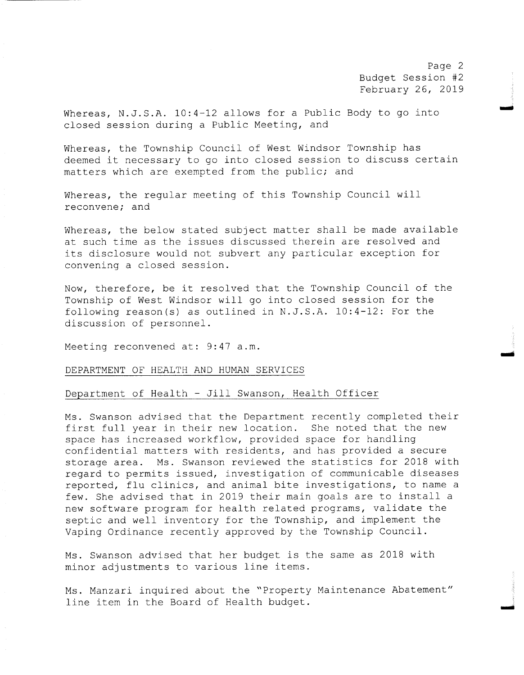Page 2 Budget Session #2 February 26, 2019

moo

mos

Whereas, N.J.S.A. 10:4-12 allows for a Public Body to go into closed session during <sup>a</sup> Public Meeting, and

Whereas, the Township Council of West Windsor Township has deemed it necessary to go into closed session to discuss certain matters which are exempted from the public; and

Whereas, the regular meeting of this Township Council will reconvene; and

Whereas, the below stated subject matter shall be made available at such time as the issues discussed therein are resolved and its disclosure would not subvert any particular exception for convening <sup>a</sup> closed session.

Now, therefore, be it resolved that the Township Council of the Township of West Windsor will go into closed session for the following reason(s) as outlined in N.J.S.A.  $10:4-12$ : For the discussion of personnel .

Meeting reconvened at: 9:47 a.m.

### DEPARTMENT OF HEALTH AND HUMAN SERVICES

## Department of Health - Jill Swanson, Health Officer

Ms . Swanson advised that the Department recently completed their first full year in their new location. She noted that the new space has increased workflow, provided space for handling confidential matters with residents, and has provided <sup>a</sup> secure storage area. Ms. Swanson reviewed the statistics for 2018 with regard to permits issued, investigation of communicable diseases reported, flu clinics, and animal bite investigations, to name <sup>a</sup> few. She advised that in <sup>2019</sup> their main goals are to install <sup>a</sup> new software program for health related programs, validate the septic and well inventory for the Township, and implement the Vaping Ordinance recently approved by the Township Council .

Ms . Swanson advised that her budget is the same as 2018 with minor adjustments to various line items .

Ms . Manzari inquired about the " Property Maintenance Abatement" line item in the Board of Health budget.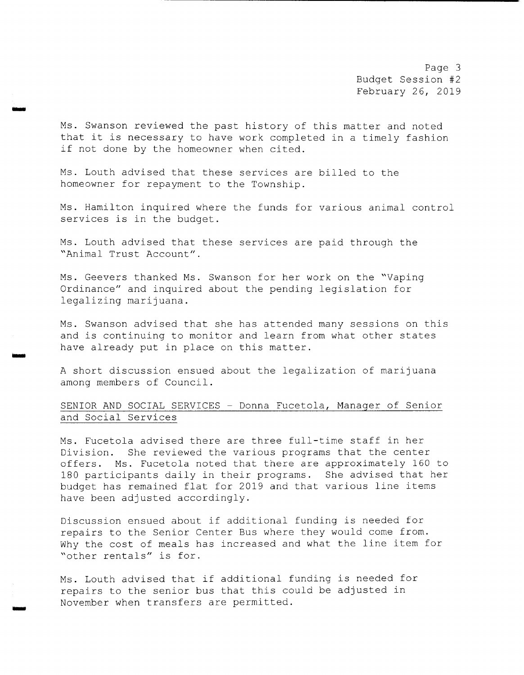Page 3 Budget Session #2 February 26, 2019

Ms. Swanson reviewed the past history of this matter and noted that it is necessary to have work completed in <sup>a</sup> timely fashion if not done by the homeowner when cited.

Ms. Louth advised that these services are billed to the homeowner for repayment to the Township.

سنة

iron

Ms. Hamilton inquired where the funds for various animal control services is in the budget.

Ms. Louth advised that these services are paid through the Animal Trust Account" .

Ms. Geevers thanked Ms. Swanson for her work on the "Vaping Ordinance" and inquired about the pending legislation for legalizing marijuana .

Ms. Swanson advised that she has attended many sessions on this and is continuing to monitor and learn from what other states have already put in place on this matter.

<sup>A</sup> short discussion ensued about the legalization of marijuana among members of Council .

# SENIOR AND SOCIAL SERVICES - Donna Fucetola, Manager of Senior and Social Services

Ms. Fucetola advised there are three full-time staff in her Division. She reviewed the various programs that the center offers. Ms. Fucetola noted that there are approximately 160 to 180 participants daily in their programs. She advised that her budget has remained flat for <sup>2019</sup> and that various line items have been adjusted accordingly.

Discussion ensued about if additional funding is needed for repairs to the Senior Center Bus where they would come from. Why the cost of meals has increased and what the line item for other rentals" is for.

Ms. Louth advised that if additional funding is needed for repairs to the senior bus that this could be adjusted in November when transfers are permitted.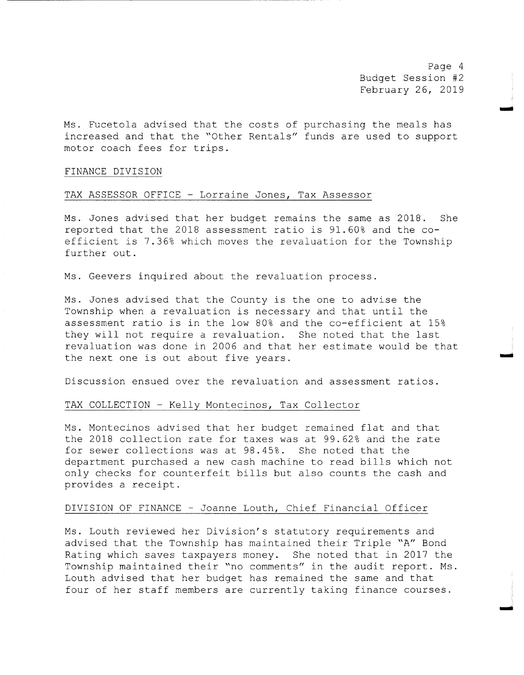Page <sup>4</sup> Budget Session #2 February 26, 2019

moo

na

Ms. Fucetola advised that the costs of purchasing the meals has increased and that the "Other Rentals" funds are used to support motor coach fees for trips .

### FINANCE DIVISION

## TAX ASSESSOR OFFICE - Lorraine Jones, Tax Assessor

Ms. Jones advised that her budget remains the same as 2018. She reported that the <sup>2018</sup> assessment ratio is 91 . 60% and the coefficient is 7 . 36% which moves the revaluation for the Township further out .

Ms. Geevers inquired about the revaluation process.

Ms. Jones advised that the County is the one to advise the Township when <sup>a</sup> revaluation is necessary and that until the assessment ratio is in the low 80% and the co-efficient at 15% they will not require <sup>a</sup> revaluation. She noted that the last revaluation was done in 2006 and that her estimate would be that the next one is out about five years .

Discussion ensued over the revaluation and assessment ratios .

## TAX COLLECTION - Kelly Montecinos, Tax Collector

Ms . Montecinos advised that her budget remained flat and that the <sup>2018</sup> collection rate for taxes was at 99 . 62% and the rate for sewer collections was at 98 . 45% . She noted that the department purchased <sup>a</sup> new cash machine to read bills which not only checks for counterfeit bills but also counts the cash and provides <sup>a</sup> receipt .

### DIVISION OF FINANCE - Joanne Louth, Chief Financial Officer

Ms. Louth reviewed her Division's statutory requirements and advised that the Township has maintained their Triple "A" Bond Rating which saves taxpayers money. She noted that in <sup>2017</sup> the Township maintained their "no comments" in the audit report. Ms. Louth advised that her budget has remained the same and that four of her staff members are currently taking finance courses .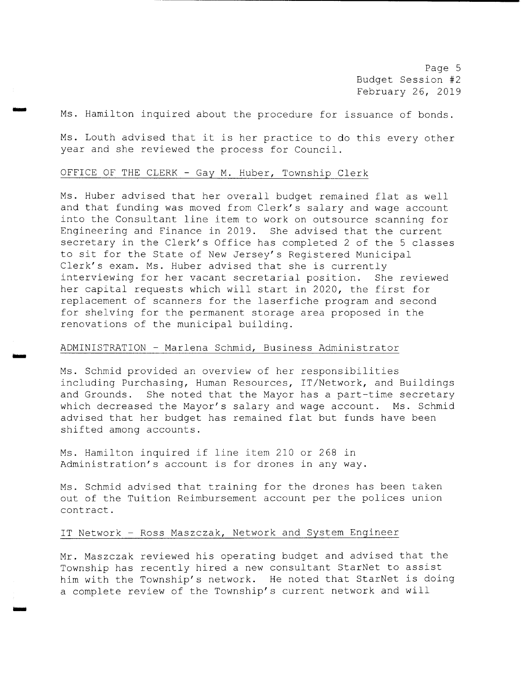Page 5 Budget Session #2 February 26, 2019

Ms. Hamilton inquired about the procedure for issuance of bonds.

Ms. Louth advised that it is her practice to do this every other year and she reviewed the process for Council .

### OFFICE OF THE CLERK - Gay M. Huber, Township Clerk

rr..

wow

Ms. Huber advised that her overall budget remained flat as well and that funding was moved from Clerk's salary and wage account into the Consultant line item to work on outsource scanning for Engineering and Finance in 2019 . She advised that the current secretary in the Clerk's Office has completed 2 of the 5 classes to sit for the State of New Jersey' s Registered Municipal Clerk's exam. Ms. Huber advised that she is currently interviewing for her vacant secretarial position. She reviewed her capital requests which will start in 2020, the first for replacement of scanners for the laserfiche program and second for shelving for the permanent storage area proposed in the renovations of the municipal building.

## ADMINISTRATION - Marlena Schmid, Business Administrator

Ms . Schmid provided an overview of her responsibilities including Purchasing, Human Resources, IT/ Network, and Buildings and Grounds. She noted that the Mayor has a part-time secretary which decreased the Mayor's salary and wage account. Ms. Schmi advised that her budget has remained flat but funds have been shifted among accounts .

Ms . Hamilton inquired if line item <sup>210</sup> or <sup>268</sup> in Administration's account is for drones in any way.

Ms. Schmid advised that training for the drones has been taken out of the Tuition Reimbursement account per the polices union contract .

# IT Network - Ross Maszczak, Network and System Engineer

Mr. Maszczak reviewed his operating budget and advised that the Township has recently hired <sup>a</sup> new consultant StarNet to assist him with the Township' <sup>s</sup> network. He noted that StarNet is doing a complete review of the Township's current network and will